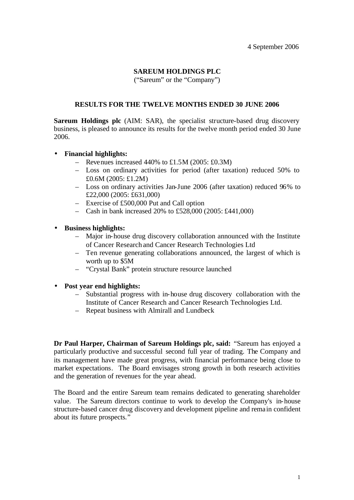# **SAREUM HOLDINGS PLC**

("Sareum" or the "Company")

#### **RESULTS FOR THE TWELVE MONTHS ENDED 30 JUNE 2006**

**Sareum Holdings plc** (AIM: SAR), the specialist structure-based drug discovery business, is pleased to announce its results for the twelve month period ended 30 June 2006.

- **Financial highlights:**
	- Revenues increased 440% to  $\text{\pounds}1.5M$  (2005:  $\text{\pounds}0.3M$ )
	- Loss on ordinary activities for period (after taxation) reduced 50% to £0.6M (2005: £1.2M)
	- Loss on ordinary activities Jan-June 2006 (after taxation) reduced 96% to £22,000 (2005: £631,000)
	- Exercise of £500,000 Put and Call option
	- Cash in bank increased 20% to £528,000 (2005: £441,000)
- **Business highlights:**
	- Major in-house drug discovery collaboration announced with the Institute of Cancer Research and Cancer Research Technologies Ltd
	- Ten revenue generating collaborations announced, the largest of which is worth up to \$5M
	- "Crystal Bank" protein structure resource launched
- **Post year end highlights:**
	- Substantial progress with in-house drug discovery collaboration with the Institute of Cancer Research and Cancer Research Technologies Ltd.
	- Repeat business with Almirall and Lundbeck

**Dr Paul Harper, Chairman of Sareum Holdings plc, said:** "Sareum has enjoyed a particularly productive and successful second full year of trading. The Company and its management have made great progress, with financial performance being close to market expectations. The Board envisages strong growth in both research activities and the generation of revenues for the year ahead.

The Board and the entire Sareum team remains dedicated to generating shareholder value. The Sareum directors continue to work to develop the Company's in-house structure-based cancer drug discovery and development pipeline and rema in confident about its future prospects."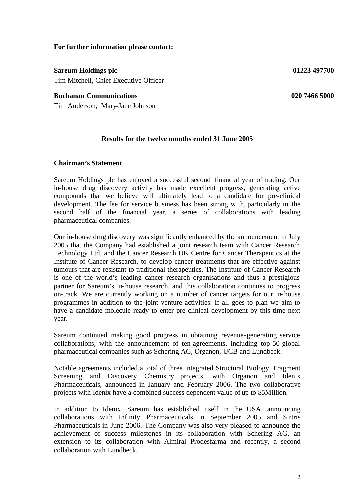#### **For further information please contact:**

**Sareum Holdings plc 01223 497700** Tim Mitchell, Chief Executive Officer

#### **Buchanan Communications 020 7466 5000**

Tim Anderson, Mary-Jane Johnson

#### **Results for the twelve months ended 31 June 2005**

#### **Chairman's Statement**

Sareum Holdings plc has enjoyed a successful second financial year of trading. Our in-house drug discovery activity has made excellent progress, generating active compounds that we believe will ultimately lead to a candidate for pre-clinical development. The fee for service business has been strong with, particularly in the second half of the financial year, a series of collaborations with leading pharmaceutical companies.

Our in-house drug discovery was significantly enhanced by the announcement in July 2005 that the Company had established a joint research team with Cancer Research Technology Ltd. and the Cancer Research UK Centre for Cancer Therapeutics at the Institute of Cancer Research, to develop cancer treatments that are effective against tumours that are resistant to traditional therapeutics. The Institute of Cancer Research is one of the world's leading cancer research organisations and thus a prestigious partner for Sareum's in-house research, and this collaboration continues to progress on-track. We are currently working on a number of cancer targets for our in-house programmes in addition to the joint venture activities. If all goes to plan we aim to have a candidate molecule ready to enter pre-clinical development by this time next year.

Sareum continued making good progress in obtaining revenue-generating service collaborations, with the announcement of ten agreements, including top-50 global pharmaceutical companies such as Schering AG, Organon, UCB and Lundbeck.

Notable agreements included a total of three integrated Structural Biology, Fragment Screening and Discovery Chemistry projects, with Organon and Idenix Pharmaceuticals, announced in January and February 2006. The two collaborative projects with Idenix have a combined success dependent value of up to \$5Million.

In addition to Idenix, Sareum has established itself in the USA, announcing collaborations with Infinity Pharmaceuticals in September 2005 and Sirtris Pharmaceuticals in June 2006. The Company was also very pleased to announce the achievement of success milestones in its collaboration with Schering AG, an extension to its collaboration with Almiral Prodesfarma and recently, a second collaboration with Lundbeck.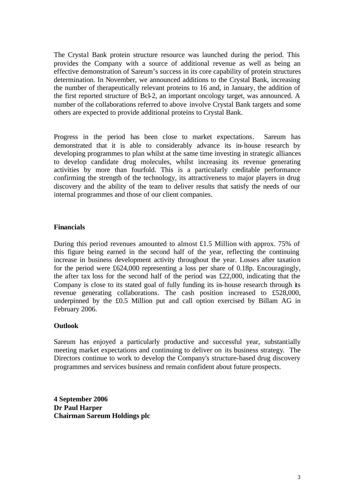The Crystal Bank protein structure resource was launched during the period. This provides the Company with a source of additional revenue as well as being an effective demonstration of Sareum's success in its core capability of protein structures determination. In November, we announced additions to the Crystal Bank, increasing the number of therapeutically relevant proteins to 16 and, in January, the addition of the first reported structure of Bcl-2, an important oncology target, was announced. A number of the collaborations referred to above involve Crystal Bank targets and some others are expected to provide additional proteins to Crystal Bank.

Progress in the period has been close to market expectations. Sareum has demonstrated that it is able to considerably advance its in-house research by developing programmes to plan whilst at the same time investing in strategic alliances to develop candidate drug molecules, whilst increasing its revenue generating activities by more than fourfold. This is a particularly creditable performance confirming the strength of the technology, its attractiveness to major players in drug discovery and the ability of the team to deliver results that satisfy the needs of our internal programmes and those of our client companies.

#### **Financials**

During this period revenues amounted to almost £1.5 Million with approx. 75% of this figure being earned in the second half of the year, reflecting the continuing increase in business development activity throughout the year. Losses after taxation for the period were £624,000 representing a loss per share of 0.18p. Encouragingly, the after tax loss for the second half of the period was £22,000, indicating that the Company is close to its stated goal of fully funding its in-house research through its revenue generating collaborations. The cash position increased to £528,000, underpinned by the £0.5 Million put and call option exercised by Billam AG in February 2006.

#### **Outlook**

Sareum has enjoyed a particularly productive and successful year, substantially meeting market expectations and continuing to deliver on its business strategy. The Directors continue to work to develop the Company's structure-based drug discovery programmes and services business and remain confident about future prospects.

**4 September 2006 Dr Paul Harper Chairman Sareum Holdings plc**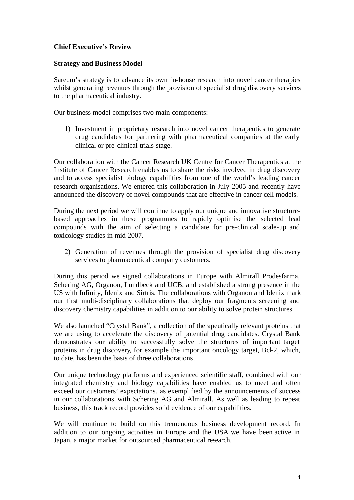# **Chief Executive's Review**

#### **Strategy and Business Model**

Sareum's strategy is to advance its own in-house research into novel cancer therapies whilst generating revenues through the provision of specialist drug discovery services to the pharmaceutical industry.

Our business model comprises two main components:

1) Investment in proprietary research into novel cancer therapeutics to generate drug candidates for partnering with pharmaceutical companie s at the early clinical or pre-clinical trials stage.

Our collaboration with the Cancer Research UK Centre for Cancer Therapeutics at the Institute of Cancer Research enables us to share the risks involved in drug discovery and to access specialist biology capabilities from one of the world's leading cancer research organisations. We entered this collaboration in July 2005 and recently have announced the discovery of novel compounds that are effective in cancer cell models.

During the next period we will continue to apply our unique and innovative structurebased approaches in these programmes to rapidly optimise the selected lead compounds with the aim of selecting a candidate for pre-clinical scale-up and toxicology studies in mid 2007.

2) Generation of revenues through the provision of specialist drug discovery services to pharmaceutical company customers.

During this period we signed collaborations in Europe with Almirall Prodesfarma, Schering AG, Organon, Lundbeck and UCB, and established a strong presence in the US with Infinity, Idenix and Sirtris. The collaborations with Organon and Idenix mark our first multi-disciplinary collaborations that deploy our fragments screening and discovery chemistry capabilities in addition to our ability to solve protein structures.

We also launched "Crystal Bank", a collection of therapeutically relevant proteins that we are using to accelerate the discovery of potential drug candidates. Crystal Bank demonstrates our ability to successfully solve the structures of important target proteins in drug discovery, for example the important oncology target, Bcl-2, which, to date, has been the basis of three collaborations.

Our unique technology platforms and experienced scientific staff, combined with our integrated chemistry and biology capabilities have enabled us to meet and often exceed our customers' expectations, as exemplified by the announcements of success in our collaborations with Schering AG and Almirall. As well as leading to repeat business, this track record provides solid evidence of our capabilities.

We will continue to build on this tremendous business development record. In addition to our ongoing activities in Europe and the USA we have been active in Japan, a major market for outsourced pharmaceutical research.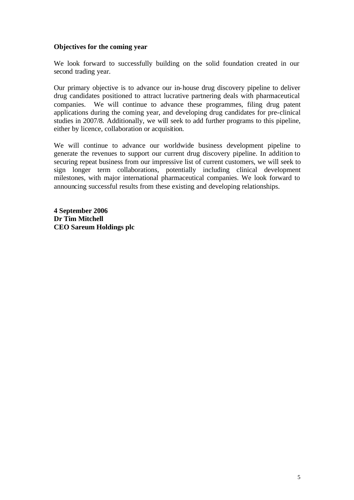#### **Objectives for the coming year**

We look forward to successfully building on the solid foundation created in our second trading year.

Our primary objective is to advance our in-house drug discovery pipeline to deliver drug candidates positioned to attract lucrative partnering deals with pharmaceutical companies. We will continue to advance these programmes, filing drug patent applications during the coming year, and developing drug candidates for pre-clinical studies in 2007/8. Additionally, we will seek to add further programs to this pipeline, either by licence, collaboration or acquisition.

We will continue to advance our worldwide business development pipeline to generate the revenues to support our current drug discovery pipeline. In addition to securing repeat business from our impressive list of current customers, we will seek to sign longer term collaborations, potentially including clinical development milestones, with major international pharmaceutical companies. We look forward to announcing successful results from these existing and developing relationships.

**4 September 2006 Dr Tim Mitchell CEO Sareum Holdings plc**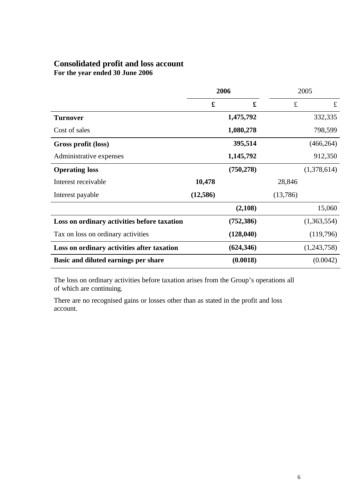# **Consolidated profit and loss account**

**For the year ended 30 June 2006**

|                                             | 2006     |            | 2005     |             |
|---------------------------------------------|----------|------------|----------|-------------|
|                                             | £        | £          | £        | $\mathbf f$ |
| <b>Turnover</b>                             |          | 1,475,792  |          | 332,335     |
| Cost of sales                               |          | 1,080,278  |          | 798,599     |
| Gross profit (loss)                         |          | 395,514    |          | (466, 264)  |
| Administrative expenses                     |          | 1,145,792  |          | 912,350     |
| <b>Operating loss</b>                       |          | (750, 278) |          | (1,378,614) |
| Interest receivable                         | 10,478   |            | 28,846   |             |
| Interest payable                            | (12,586) |            | (13,786) |             |
|                                             |          | (2,108)    |          | 15,060      |
| Loss on ordinary activities before taxation |          | (752, 386) |          | (1,363,554) |
| Tax on loss on ordinary activities          |          | (128,040)  |          | (119,796)   |
| Loss on ordinary activities after taxation  |          | (624, 346) |          | (1,243,758) |
| Basic and diluted earnings per share        |          | (0.0018)   |          | (0.0042)    |

The loss on ordinary activities before taxation arises from the Group's operations all of which are continuing.

There are no recognised gains or losses other than as stated in the profit and loss account.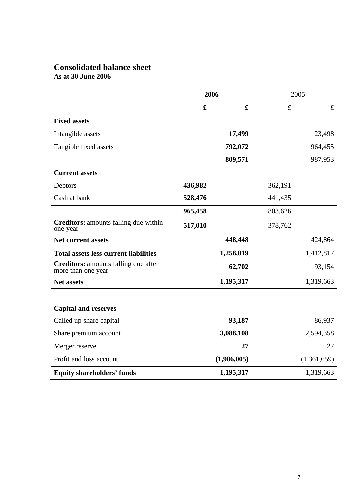# **Consolidated balance sheet As at 30 June 2006**

|                                                                   | 2006    |             | 2005      |             |
|-------------------------------------------------------------------|---------|-------------|-----------|-------------|
|                                                                   | £       | $\mathbf f$ | $\pounds$ | $\mathbf f$ |
| <b>Fixed assets</b>                                               |         |             |           |             |
| Intangible assets                                                 |         | 17,499      |           | 23,498      |
| Tangible fixed assets                                             |         | 792,072     |           | 964,455     |
|                                                                   |         | 809,571     |           | 987,953     |
| <b>Current assets</b>                                             |         |             |           |             |
| Debtors                                                           | 436,982 |             | 362,191   |             |
| Cash at bank                                                      | 528,476 |             | 441,435   |             |
|                                                                   | 965,458 |             | 803,626   |             |
| <b>Creditors:</b> amounts falling due within<br>one year          | 517,010 |             | 378,762   |             |
| <b>Net current assets</b>                                         |         | 448,448     |           | 424,864     |
| <b>Total assets less current liabilities</b>                      |         | 1,258,019   |           | 1,412,817   |
| <b>Creditors:</b> amounts falling due after<br>more than one year |         | 62,702      |           | 93,154      |
| <b>Net assets</b>                                                 |         | 1,195,317   |           | 1,319,663   |
|                                                                   |         |             |           |             |
| <b>Capital and reserves</b>                                       |         |             |           |             |
| Called up share capital                                           |         | 93,187      |           | 86,937      |
| Share premium account                                             |         | 3,088,108   |           | 2,594,358   |
| Merger reserve                                                    |         | 27          |           | 27          |
| Profit and loss account                                           |         | (1,986,005) |           | (1,361,659) |
| <b>Equity shareholders' funds</b>                                 |         | 1,195,317   |           | 1,319,663   |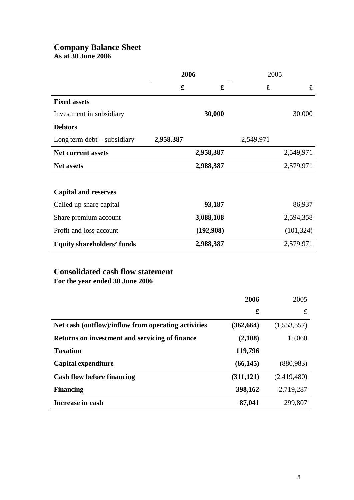# **Company Balance Sheet**

**As at 30 June 2006**

|                                   | 2006      |           | 2005      |             |
|-----------------------------------|-----------|-----------|-----------|-------------|
|                                   | £         | £         | £         | $\mathbf f$ |
| <b>Fixed assets</b>               |           |           |           |             |
| Investment in subsidiary          |           | 30,000    |           | 30,000      |
| <b>Debtors</b>                    |           |           |           |             |
| Long term $debt -$ subsidiary     | 2,958,387 |           | 2,549,971 |             |
| <b>Net current assets</b>         |           | 2,958,387 |           | 2,549,971   |
| <b>Net assets</b>                 |           | 2,988,387 |           | 2,579,971   |
|                                   |           |           |           |             |
| <b>Capital and reserves</b>       |           |           |           |             |
| Called up share capital           |           | 93,187    |           | 86,937      |
| Share premium account             |           | 3,088,108 |           | 2,594,358   |
| Profit and loss account           |           | (192,908) |           | (101, 324)  |
| <b>Equity shareholders' funds</b> |           | 2,988,387 |           | 2,579,971   |

# **Consolidated cash flow statement**

**For the year ended 30 June 2006**

|                                                     | 2006       | 2005        |
|-----------------------------------------------------|------------|-------------|
|                                                     | £          | £           |
| Net cash (outflow)/inflow from operating activities | (362, 664) | (1,553,557) |
| Returns on investment and servicing of finance      | (2,108)    | 15,060      |
| <b>Taxation</b>                                     | 119,796    |             |
| Capital expenditure                                 | (66, 145)  | (880, 983)  |
| <b>Cash flow before financing</b>                   | (311, 121) | (2,419,480) |
| <b>Financing</b>                                    | 398,162    | 2,719,287   |
| Increase in cash                                    | 87,041     | 299,807     |